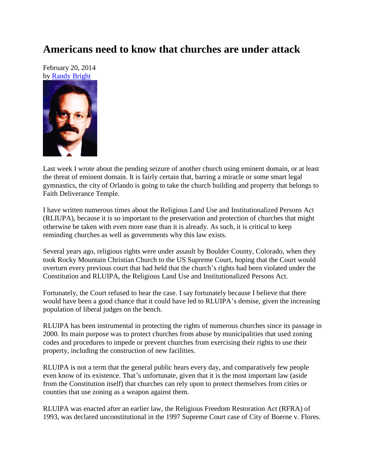## **Americans need to know that churches are under attack**

February 20, 2014 by [Randy Bright](http://tulsabeacon.com/writers/randy-bright/)



Last week I wrote about the pending seizure of another church using eminent domain, or at least the threat of eminent domain. It is fairly certain that, barring a miracle or some smart legal gymnastics, the city of Orlando is going to take the church building and property that belongs to Faith Deliverance Temple.

I have written numerous times about the Religious Land Use and Institutionalized Persons Act (RLIUPA), because it is so important to the preservation and protection of churches that might otherwise be taken with even more ease than it is already. As such, it is critical to keep reminding churches as well as governments why this law exists.

Several years ago, religious rights were under assault by Boulder County, Colorado, when they took Rocky Mountain Christian Church to the US Supreme Court, hoping that the Court would overturn every previous court that had held that the church's rights had been violated under the Constitution and RLUIPA, the Religious Land Use and Institutionalized Persons Act.

Fortunately, the Court refused to hear the case. I say fortunately because I believe that there would have been a good chance that it could have led to RLUIPA's demise, given the increasing population of liberal judges on the bench.

RLUIPA has been instrumental in protecting the rights of numerous churches since its passage in 2000. Its main purpose was to protect churches from abuse by municipalities that used zoning codes and procedures to impede or prevent churches from exercising their rights to use their property, including the construction of new facilities.

RLUIPA is not a term that the general public hears every day, and comparatively few people even know of its existence. That's unfortunate, given that it is the most important law (aside from the Constitution itself) that churches can rely upon to protect themselves from cities or counties that use zoning as a weapon against them.

RLUIPA was enacted after an earlier law, the Religious Freedom Restoration Act (RFRA) of 1993, was declared unconstitutional in the 1997 Supreme Court case of City of Boerne v. Flores.